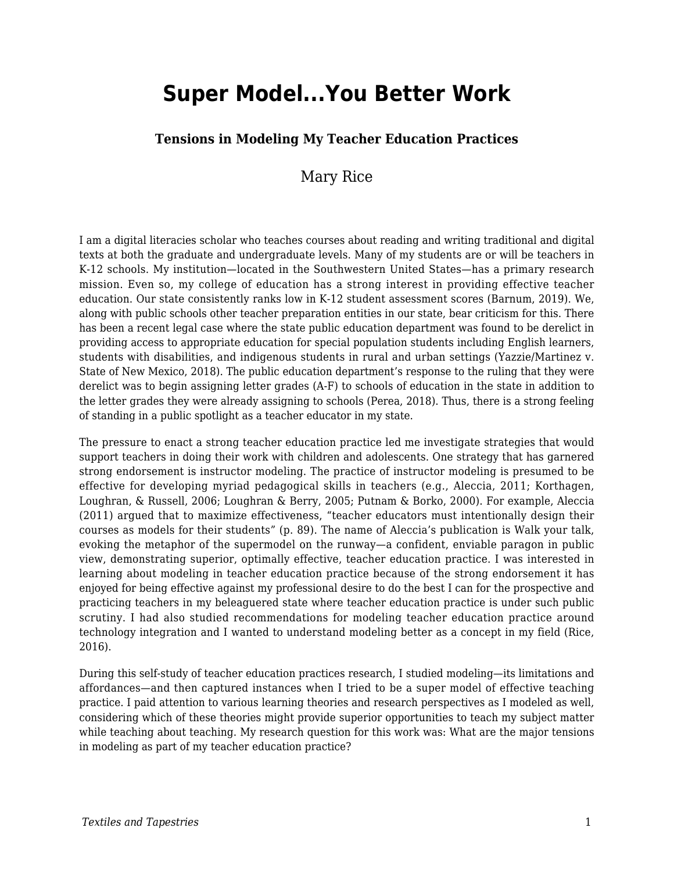# **Super Model...You Better Work**

#### **Tensions in Modeling My Teacher Education Practices**

### Mary Rice

I am a digital literacies scholar who teaches courses about reading and writing traditional and digital texts at both the graduate and undergraduate levels. Many of my students are or will be teachers in K-12 schools. My institution—located in the Southwestern United States—has a primary research mission. Even so, my college of education has a strong interest in providing effective teacher education. Our state consistently ranks low in K-12 student assessment scores (Barnum, 2019). We, along with public schools other teacher preparation entities in our state, bear criticism for this. There has been a recent legal case where the state public education department was found to be derelict in providing access to appropriate education for special population students including English learners, students with disabilities, and indigenous students in rural and urban settings (Yazzie/Martinez v. State of New Mexico, 2018). The public education department's response to the ruling that they were derelict was to begin assigning letter grades (A-F) to schools of education in the state in addition to the letter grades they were already assigning to schools (Perea, 2018). Thus, there is a strong feeling of standing in a public spotlight as a teacher educator in my state.

The pressure to enact a strong teacher education practice led me investigate strategies that would support teachers in doing their work with children and adolescents. One strategy that has garnered strong endorsement is instructor modeling. The practice of instructor modeling is presumed to be effective for developing myriad pedagogical skills in teachers (e.g., Aleccia, 2011; Korthagen, Loughran, & Russell, 2006; Loughran & Berry, 2005; Putnam & Borko, 2000). For example, Aleccia (2011) argued that to maximize effectiveness, "teacher educators must intentionally design their courses as models for their students" (p. 89). The name of Aleccia's publication is Walk your talk, evoking the metaphor of the supermodel on the runway—a confident, enviable paragon in public view, demonstrating superior, optimally effective, teacher education practice. I was interested in learning about modeling in teacher education practice because of the strong endorsement it has enjoyed for being effective against my professional desire to do the best I can for the prospective and practicing teachers in my beleaguered state where teacher education practice is under such public scrutiny. I had also studied recommendations for modeling teacher education practice around technology integration and I wanted to understand modeling better as a concept in my field (Rice, 2016).

During this self-study of teacher education practices research, I studied modeling—its limitations and affordances—and then captured instances when I tried to be a super model of effective teaching practice. I paid attention to various learning theories and research perspectives as I modeled as well, considering which of these theories might provide superior opportunities to teach my subject matter while teaching about teaching. My research question for this work was: What are the major tensions in modeling as part of my teacher education practice?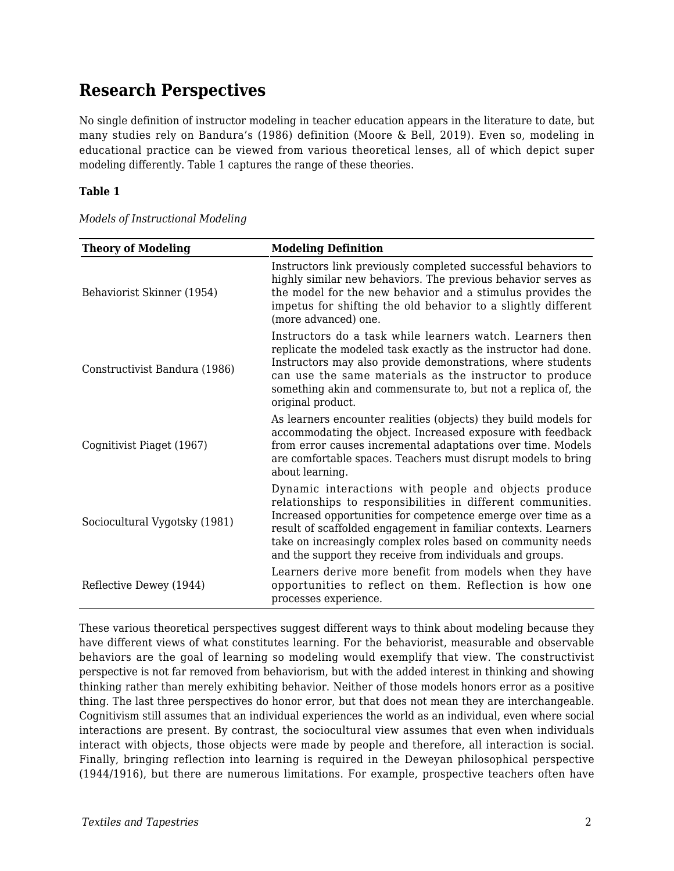### **Research Perspectives**

No single definition of instructor modeling in teacher education appears in the literature to date, but many studies rely on Bandura's (1986) definition (Moore & Bell, 2019). Even so, modeling in educational practice can be viewed from various theoretical lenses, all of which depict super modeling differently. Table 1 captures the range of these theories.

#### **Table 1**

|  | Models of Instructional Modeling |
|--|----------------------------------|
|  |                                  |

| <b>Theory of Modeling</b>     | <b>Modeling Definition</b>                                                                                                                                                                                                                                                                                                                                                        |  |  |
|-------------------------------|-----------------------------------------------------------------------------------------------------------------------------------------------------------------------------------------------------------------------------------------------------------------------------------------------------------------------------------------------------------------------------------|--|--|
| Behaviorist Skinner (1954)    | Instructors link previously completed successful behaviors to<br>highly similar new behaviors. The previous behavior serves as<br>the model for the new behavior and a stimulus provides the<br>impetus for shifting the old behavior to a slightly different<br>(more advanced) one.                                                                                             |  |  |
| Constructivist Bandura (1986) | Instructors do a task while learners watch. Learners then<br>replicate the modeled task exactly as the instructor had done.<br>Instructors may also provide demonstrations, where students<br>can use the same materials as the instructor to produce<br>something akin and commensurate to, but not a replica of, the<br>original product.                                       |  |  |
| Cognitivist Piaget (1967)     | As learners encounter realities (objects) they build models for<br>accommodating the object. Increased exposure with feedback<br>from error causes incremental adaptations over time. Models<br>are comfortable spaces. Teachers must disrupt models to bring<br>about learning.                                                                                                  |  |  |
| Sociocultural Vygotsky (1981) | Dynamic interactions with people and objects produce<br>relationships to responsibilities in different communities.<br>Increased opportunities for competence emerge over time as a<br>result of scaffolded engagement in familiar contexts. Learners<br>take on increasingly complex roles based on community needs<br>and the support they receive from individuals and groups. |  |  |
| Reflective Dewey (1944)       | Learners derive more benefit from models when they have<br>opportunities to reflect on them. Reflection is how one<br>processes experience.                                                                                                                                                                                                                                       |  |  |

These various theoretical perspectives suggest different ways to think about modeling because they have different views of what constitutes learning. For the behaviorist, measurable and observable behaviors are the goal of learning so modeling would exemplify that view. The constructivist perspective is not far removed from behaviorism, but with the added interest in thinking and showing thinking rather than merely exhibiting behavior. Neither of those models honors error as a positive thing. The last three perspectives do honor error, but that does not mean they are interchangeable. Cognitivism still assumes that an individual experiences the world as an individual, even where social interactions are present. By contrast, the sociocultural view assumes that even when individuals interact with objects, those objects were made by people and therefore, all interaction is social. Finally, bringing reflection into learning is required in the Deweyan philosophical perspective (1944/1916), but there are numerous limitations. For example, prospective teachers often have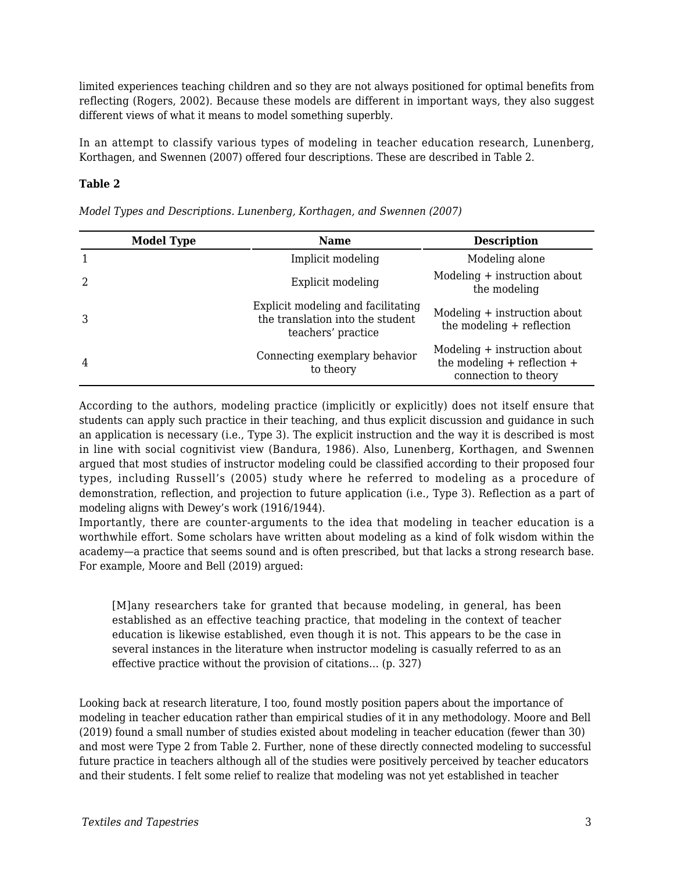limited experiences teaching children and so they are not always positioned for optimal benefits from reflecting (Rogers, 2002). Because these models are different in important ways, they also suggest different views of what it means to model something superbly.

In an attempt to classify various types of modeling in teacher education research, Lunenberg, Korthagen, and Swennen (2007) offered four descriptions. These are described in Table 2.

#### **Table 2**

| <b>Model Type</b> | <b>Name</b>                                                                                  | <b>Description</b>                                                                      |
|-------------------|----------------------------------------------------------------------------------------------|-----------------------------------------------------------------------------------------|
|                   | Implicit modeling                                                                            | Modeling alone                                                                          |
| 2                 | Explicit modeling                                                                            | Modeling + instruction about<br>the modeling                                            |
| 3                 | Explicit modeling and facilitating<br>the translation into the student<br>teachers' practice | Modeling + instruction about<br>the modeling $+$ reflection                             |
| 4                 | Connecting exemplary behavior<br>to theory                                                   | Modeling + instruction about<br>the modeling $+$ reflection $+$<br>connection to theory |

*Model Types and Descriptions. Lunenberg, Korthagen, and Swennen (2007)* 

According to the authors, modeling practice (implicitly or explicitly) does not itself ensure that students can apply such practice in their teaching, and thus explicit discussion and guidance in such an application is necessary (i.e., Type 3). The explicit instruction and the way it is described is most in line with social cognitivist view (Bandura, 1986). Also, Lunenberg, Korthagen, and Swennen argued that most studies of instructor modeling could be classified according to their proposed four types, including Russell's (2005) study where he referred to modeling as a procedure of demonstration, reflection, and projection to future application (i.e., Type 3). Reflection as a part of modeling aligns with Dewey's work (1916/1944).

Importantly, there are counter-arguments to the idea that modeling in teacher education is a worthwhile effort. Some scholars have written about modeling as a kind of folk wisdom within the academy—a practice that seems sound and is often prescribed, but that lacks a strong research base. For example, Moore and Bell (2019) argued:

[M]any researchers take for granted that because modeling, in general, has been established as an effective teaching practice, that modeling in the context of teacher education is likewise established, even though it is not. This appears to be the case in several instances in the literature when instructor modeling is casually referred to as an effective practice without the provision of citations… (p. 327)

Looking back at research literature, I too, found mostly position papers about the importance of modeling in teacher education rather than empirical studies of it in any methodology. Moore and Bell (2019) found a small number of studies existed about modeling in teacher education (fewer than 30) and most were Type 2 from Table 2. Further, none of these directly connected modeling to successful future practice in teachers although all of the studies were positively perceived by teacher educators and their students. I felt some relief to realize that modeling was not yet established in teacher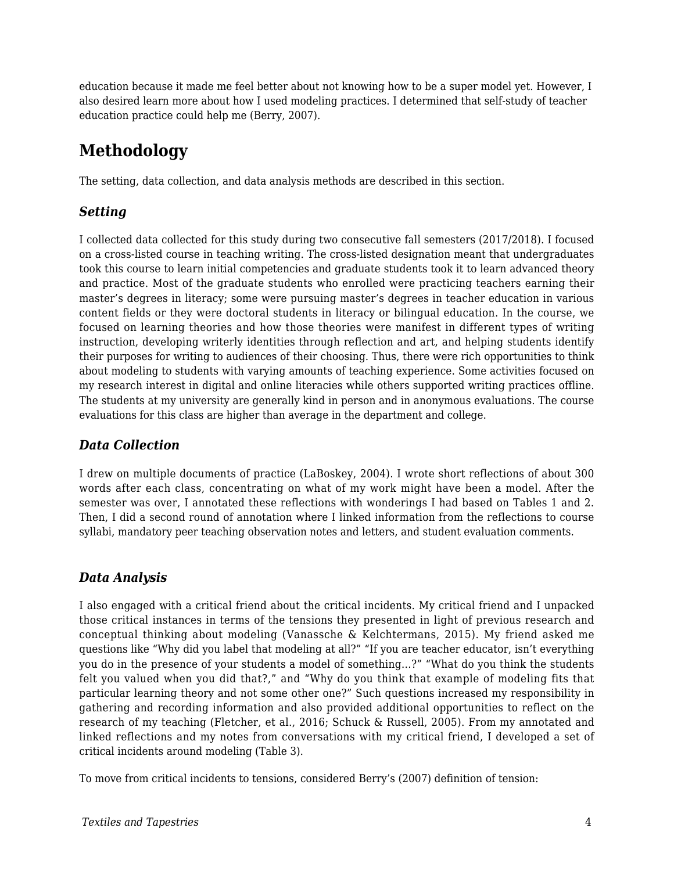education because it made me feel better about not knowing how to be a super model yet. However, I also desired learn more about how I used modeling practices. I determined that self-study of teacher education practice could help me (Berry, 2007).

# **Methodology**

The setting, data collection, and data analysis methods are described in this section.

#### *Setting*

I collected data collected for this study during two consecutive fall semesters (2017/2018). I focused on a cross-listed course in teaching writing. The cross-listed designation meant that undergraduates took this course to learn initial competencies and graduate students took it to learn advanced theory and practice. Most of the graduate students who enrolled were practicing teachers earning their master's degrees in literacy; some were pursuing master's degrees in teacher education in various content fields or they were doctoral students in literacy or bilingual education. In the course, we focused on learning theories and how those theories were manifest in different types of writing instruction, developing writerly identities through reflection and art, and helping students identify their purposes for writing to audiences of their choosing. Thus, there were rich opportunities to think about modeling to students with varying amounts of teaching experience. Some activities focused on my research interest in digital and online literacies while others supported writing practices offline. The students at my university are generally kind in person and in anonymous evaluations. The course evaluations for this class are higher than average in the department and college.

#### *Data Collection*

I drew on multiple documents of practice (LaBoskey, 2004). I wrote short reflections of about 300 words after each class, concentrating on what of my work might have been a model. After the semester was over, I annotated these reflections with wonderings I had based on Tables 1 and 2. Then, I did a second round of annotation where I linked information from the reflections to course syllabi, mandatory peer teaching observation notes and letters, and student evaluation comments.

### *Data Analysis*

I also engaged with a critical friend about the critical incidents. My critical friend and I unpacked those critical instances in terms of the tensions they presented in light of previous research and conceptual thinking about modeling (Vanassche & Kelchtermans, 2015). My friend asked me questions like "Why did you label that modeling at all?" "If you are teacher educator, isn't everything you do in the presence of your students a model of something…?" "What do you think the students felt you valued when you did that?," and "Why do you think that example of modeling fits that particular learning theory and not some other one?" Such questions increased my responsibility in gathering and recording information and also provided additional opportunities to reflect on the research of my teaching (Fletcher, et al., 2016; Schuck & Russell, 2005). From my annotated and linked reflections and my notes from conversations with my critical friend, I developed a set of critical incidents around modeling (Table 3).

To move from critical incidents to tensions, considered Berry's (2007) definition of tension: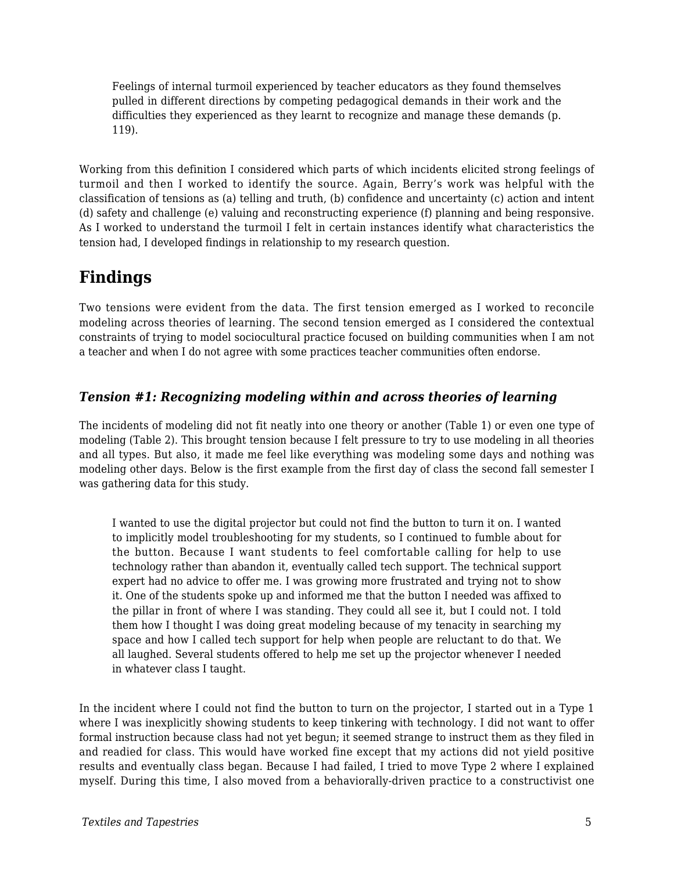Feelings of internal turmoil experienced by teacher educators as they found themselves pulled in different directions by competing pedagogical demands in their work and the difficulties they experienced as they learnt to recognize and manage these demands (p. 119).

Working from this definition I considered which parts of which incidents elicited strong feelings of turmoil and then I worked to identify the source. Again, Berry's work was helpful with the classification of tensions as (a) telling and truth, (b) confidence and uncertainty (c) action and intent (d) safety and challenge (e) valuing and reconstructing experience (f) planning and being responsive. As I worked to understand the turmoil I felt in certain instances identify what characteristics the tension had, I developed findings in relationship to my research question.

## **Findings**

Two tensions were evident from the data. The first tension emerged as I worked to reconcile modeling across theories of learning. The second tension emerged as I considered the contextual constraints of trying to model sociocultural practice focused on building communities when I am not a teacher and when I do not agree with some practices teacher communities often endorse.

#### *Tension #1: Recognizing modeling within and across theories of learning*

The incidents of modeling did not fit neatly into one theory or another (Table 1) or even one type of modeling (Table 2). This brought tension because I felt pressure to try to use modeling in all theories and all types. But also, it made me feel like everything was modeling some days and nothing was modeling other days. Below is the first example from the first day of class the second fall semester I was gathering data for this study.

I wanted to use the digital projector but could not find the button to turn it on. I wanted to implicitly model troubleshooting for my students, so I continued to fumble about for the button. Because I want students to feel comfortable calling for help to use technology rather than abandon it, eventually called tech support. The technical support expert had no advice to offer me. I was growing more frustrated and trying not to show it. One of the students spoke up and informed me that the button I needed was affixed to the pillar in front of where I was standing. They could all see it, but I could not. I told them how I thought I was doing great modeling because of my tenacity in searching my space and how I called tech support for help when people are reluctant to do that. We all laughed. Several students offered to help me set up the projector whenever I needed in whatever class I taught.

In the incident where I could not find the button to turn on the projector, I started out in a Type 1 where I was inexplicitly showing students to keep tinkering with technology. I did not want to offer formal instruction because class had not yet begun; it seemed strange to instruct them as they filed in and readied for class. This would have worked fine except that my actions did not yield positive results and eventually class began. Because I had failed, I tried to move Type 2 where I explained myself. During this time, I also moved from a behaviorally-driven practice to a constructivist one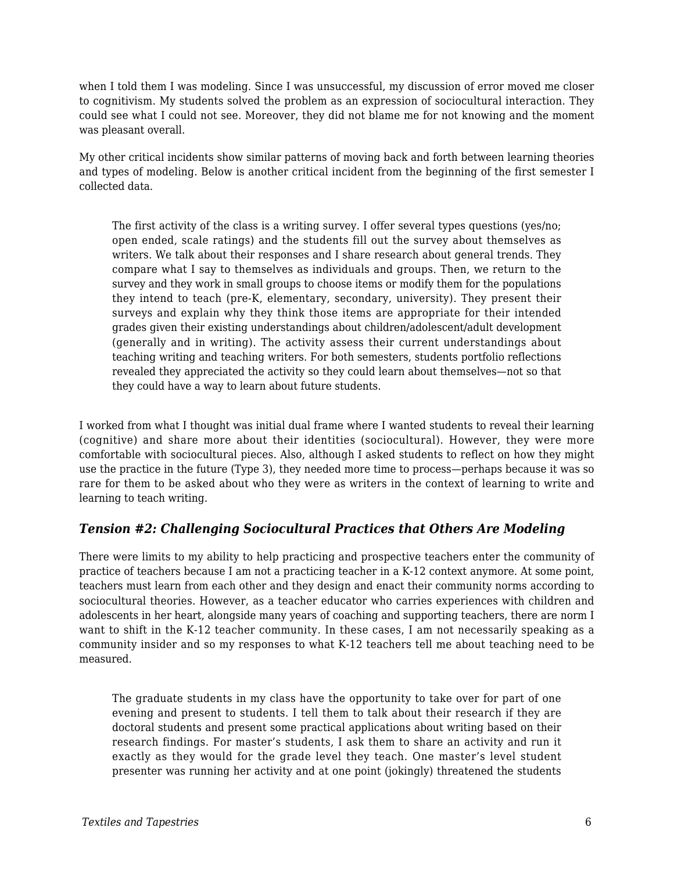when I told them I was modeling. Since I was unsuccessful, my discussion of error moved me closer to cognitivism. My students solved the problem as an expression of sociocultural interaction. They could see what I could not see. Moreover, they did not blame me for not knowing and the moment was pleasant overall.

My other critical incidents show similar patterns of moving back and forth between learning theories and types of modeling. Below is another critical incident from the beginning of the first semester I collected data.

The first activity of the class is a writing survey. I offer several types questions (yes/no; open ended, scale ratings) and the students fill out the survey about themselves as writers. We talk about their responses and I share research about general trends. They compare what I say to themselves as individuals and groups. Then, we return to the survey and they work in small groups to choose items or modify them for the populations they intend to teach (pre-K, elementary, secondary, university). They present their surveys and explain why they think those items are appropriate for their intended grades given their existing understandings about children/adolescent/adult development (generally and in writing). The activity assess their current understandings about teaching writing and teaching writers. For both semesters, students portfolio reflections revealed they appreciated the activity so they could learn about themselves—not so that they could have a way to learn about future students.

I worked from what I thought was initial dual frame where I wanted students to reveal their learning (cognitive) and share more about their identities (sociocultural). However, they were more comfortable with sociocultural pieces. Also, although I asked students to reflect on how they might use the practice in the future (Type 3), they needed more time to process—perhaps because it was so rare for them to be asked about who they were as writers in the context of learning to write and learning to teach writing.

#### *Tension #2: Challenging Sociocultural Practices that Others Are Modeling*

There were limits to my ability to help practicing and prospective teachers enter the community of practice of teachers because I am not a practicing teacher in a K-12 context anymore. At some point, teachers must learn from each other and they design and enact their community norms according to sociocultural theories. However, as a teacher educator who carries experiences with children and adolescents in her heart, alongside many years of coaching and supporting teachers, there are norm I want to shift in the K-12 teacher community. In these cases, I am not necessarily speaking as a community insider and so my responses to what K-12 teachers tell me about teaching need to be measured.

The graduate students in my class have the opportunity to take over for part of one evening and present to students. I tell them to talk about their research if they are doctoral students and present some practical applications about writing based on their research findings. For master's students, I ask them to share an activity and run it exactly as they would for the grade level they teach. One master's level student presenter was running her activity and at one point (jokingly) threatened the students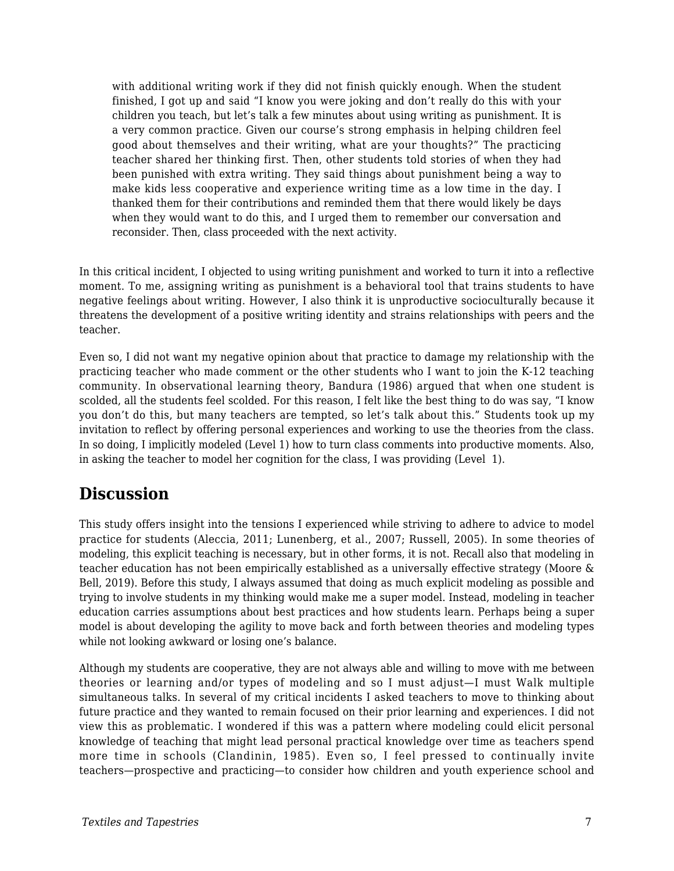with additional writing work if they did not finish quickly enough. When the student finished, I got up and said "I know you were joking and don't really do this with your children you teach, but let's talk a few minutes about using writing as punishment. It is a very common practice. Given our course's strong emphasis in helping children feel good about themselves and their writing, what are your thoughts?" The practicing teacher shared her thinking first. Then, other students told stories of when they had been punished with extra writing. They said things about punishment being a way to make kids less cooperative and experience writing time as a low time in the day. I thanked them for their contributions and reminded them that there would likely be days when they would want to do this, and I urged them to remember our conversation and reconsider. Then, class proceeded with the next activity.

In this critical incident, I objected to using writing punishment and worked to turn it into a reflective moment. To me, assigning writing as punishment is a behavioral tool that trains students to have negative feelings about writing. However, I also think it is unproductive socioculturally because it threatens the development of a positive writing identity and strains relationships with peers and the teacher.

Even so, I did not want my negative opinion about that practice to damage my relationship with the practicing teacher who made comment or the other students who I want to join the K-12 teaching community. In observational learning theory, Bandura (1986) argued that when one student is scolded, all the students feel scolded. For this reason, I felt like the best thing to do was say, "I know you don't do this, but many teachers are tempted, so let's talk about this." Students took up my invitation to reflect by offering personal experiences and working to use the theories from the class. In so doing, I implicitly modeled (Level 1) how to turn class comments into productive moments. Also, in asking the teacher to model her cognition for the class, I was providing (Level 1).

### **Discussion**

This study offers insight into the tensions I experienced while striving to adhere to advice to model practice for students (Aleccia, 2011; Lunenberg, et al., 2007; Russell, 2005). In some theories of modeling, this explicit teaching is necessary, but in other forms, it is not. Recall also that modeling in teacher education has not been empirically established as a universally effective strategy (Moore & Bell, 2019). Before this study, I always assumed that doing as much explicit modeling as possible and trying to involve students in my thinking would make me a super model. Instead, modeling in teacher education carries assumptions about best practices and how students learn. Perhaps being a super model is about developing the agility to move back and forth between theories and modeling types while not looking awkward or losing one's balance.

Although my students are cooperative, they are not always able and willing to move with me between theories or learning and/or types of modeling and so I must adjust—I must Walk multiple simultaneous talks. In several of my critical incidents I asked teachers to move to thinking about future practice and they wanted to remain focused on their prior learning and experiences. I did not view this as problematic. I wondered if this was a pattern where modeling could elicit personal knowledge of teaching that might lead personal practical knowledge over time as teachers spend more time in schools (Clandinin, 1985). Even so, I feel pressed to continually invite teachers—prospective and practicing—to consider how children and youth experience school and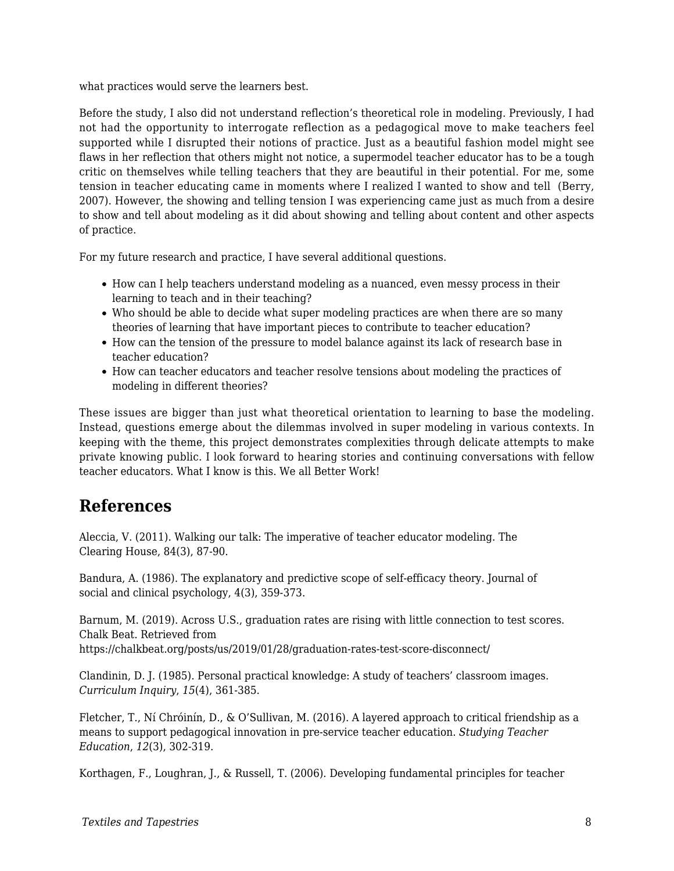what practices would serve the learners best.

Before the study, I also did not understand reflection's theoretical role in modeling. Previously, I had not had the opportunity to interrogate reflection as a pedagogical move to make teachers feel supported while I disrupted their notions of practice. Just as a beautiful fashion model might see flaws in her reflection that others might not notice, a supermodel teacher educator has to be a tough critic on themselves while telling teachers that they are beautiful in their potential. For me, some tension in teacher educating came in moments where I realized I wanted to show and tell (Berry, 2007). However, the showing and telling tension I was experiencing came just as much from a desire to show and tell about modeling as it did about showing and telling about content and other aspects of practice.

For my future research and practice, I have several additional questions.

- How can I help teachers understand modeling as a nuanced, even messy process in their learning to teach and in their teaching?
- Who should be able to decide what super modeling practices are when there are so many theories of learning that have important pieces to contribute to teacher education?
- How can the tension of the pressure to model balance against its lack of research base in teacher education?
- How can teacher educators and teacher resolve tensions about modeling the practices of modeling in different theories?

These issues are bigger than just what theoretical orientation to learning to base the modeling. Instead, questions emerge about the dilemmas involved in super modeling in various contexts. In keeping with the theme, this project demonstrates complexities through delicate attempts to make private knowing public. I look forward to hearing stories and continuing conversations with fellow teacher educators. What I know is this. We all Better Work!

### **References**

Aleccia, V. (2011). Walking our talk: The imperative of teacher educator modeling. The Clearing House, 84(3), 87-90.

Bandura, A. (1986). The explanatory and predictive scope of self-efficacy theory. Journal of social and clinical psychology, 4(3), 359-373.

Barnum, M. (2019). Across U.S., graduation rates are rising with little connection to test scores. Chalk Beat. Retrieved from https://chalkbeat.org/posts/us/2019/01/28/graduation-rates-test-score-disconnect/

Clandinin, D. J. (1985). Personal practical knowledge: A study of teachers' classroom images. *Curriculum Inquiry*, *15*(4), 361-385.

Fletcher, T., Ní Chróinín, D., & O'Sullivan, M. (2016). A layered approach to critical friendship as a means to support pedagogical innovation in pre-service teacher education. *Studying Teacher Education*, *12*(3), 302-319.

Korthagen, F., Loughran, J., & Russell, T. (2006). Developing fundamental principles for teacher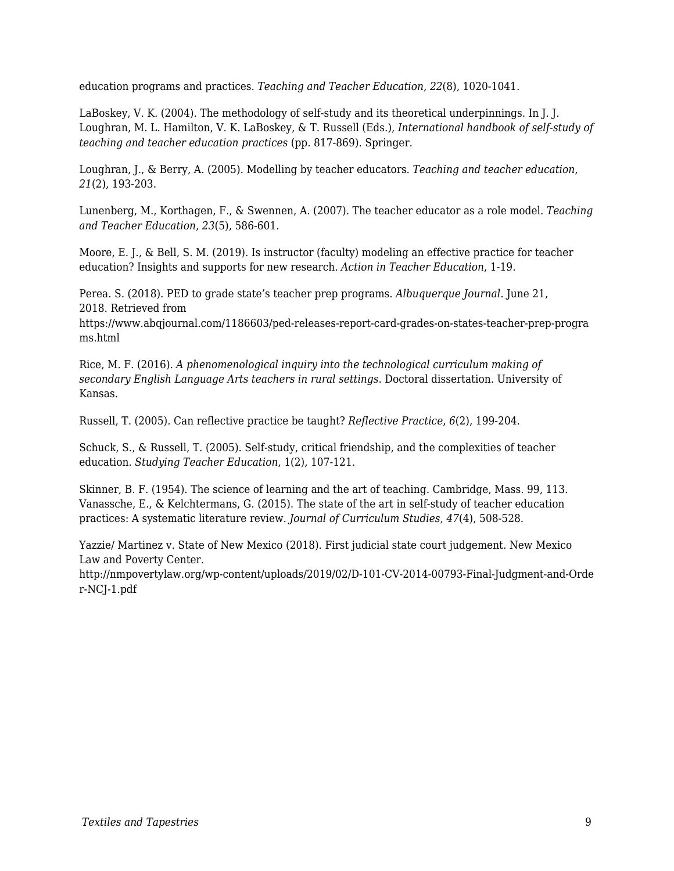education programs and practices. *Teaching and Teacher Education*, *22*(8), 1020-1041.

LaBoskey, V. K. (2004). The methodology of self-study and its theoretical underpinnings. In J. J. Loughran, M. L. Hamilton, V. K. LaBoskey, & T. Russell (Eds.), *International handbook of self-study of teaching and teacher education practices* (pp. 817-869). Springer.

Loughran, J., & Berry, A. (2005). Modelling by teacher educators. *Teaching and teacher education*, *21*(2), 193-203.

Lunenberg, M., Korthagen, F., & Swennen, A. (2007). The teacher educator as a role model. *Teaching and Teacher Education*, *23*(5), 586-601.

Moore, E. J., & Bell, S. M. (2019). Is instructor (faculty) modeling an effective practice for teacher education? Insights and supports for new research. *Action in Teacher Education*, 1-19.

Perea. S. (2018). PED to grade state's teacher prep programs. *Albuquerque Journal*. June 21, 2018. Retrieved from

https://www.abqjournal.com/1186603/ped-releases-report-card-grades-on-states-teacher-prep-progra ms.html

Rice, M. F. (2016). *A phenomenological inquiry into the technological curriculum making of secondary English Language Arts teachers in rural settings*. Doctoral dissertation. University of Kansas.

Russell, T. (2005). Can reflective practice be taught? *Reflective Practice*, *6*(2), 199-204.

Schuck, S., & Russell, T. (2005). Self-study, critical friendship, and the complexities of teacher education. *Studying Teacher Education*, 1(2), 107-121.

Skinner, B. F. (1954). The science of learning and the art of teaching. Cambridge, Mass. 99, 113. Vanassche, E., & Kelchtermans, G. (2015). The state of the art in self-study of teacher education practices: A systematic literature review. *Journal of Curriculum Studies*, *47*(4), 508-528.

Yazzie/ Martinez v. State of New Mexico (2018). First judicial state court judgement. New Mexico Law and Poverty Center.

http://nmpovertylaw.org/wp-content/uploads/2019/02/D-101-CV-2014-00793-Final-Judgment-and-Orde r-NCJ-1.pdf